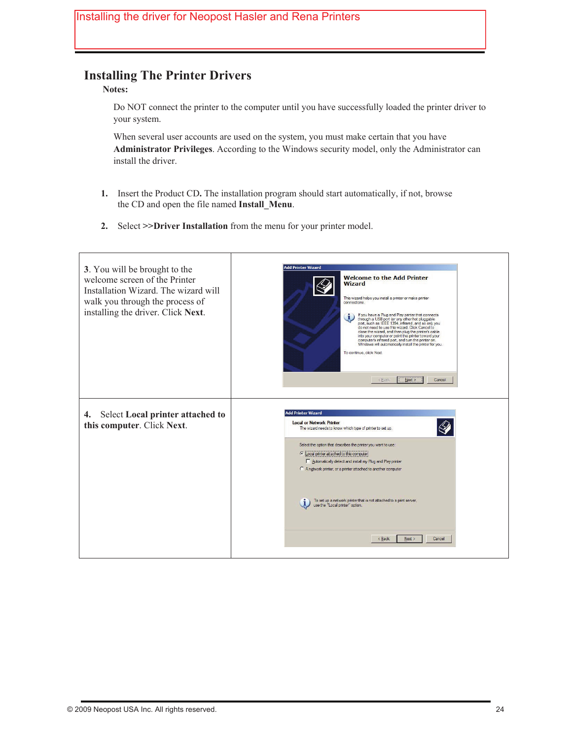## **Installing The Printer Drivers**

#### **Notes:**

Do NOT connect the printer to the computer until you have successfully loaded the printer driver to your system.

**SECTION 3** 

**OPERATING THE PRINTER** 

 When several user accounts are used on the system, you must make certain that you have **Administrator Privileges**. According to the Windows security model, only the Administrator can install the driver.

- **1.** Insert the Product CD**.** The installation program should start automatically, if not, browse the CD and open the file named **Install\_Menu**.
- **2.** Select **>>Driver Installation** from the menu for your printer model.

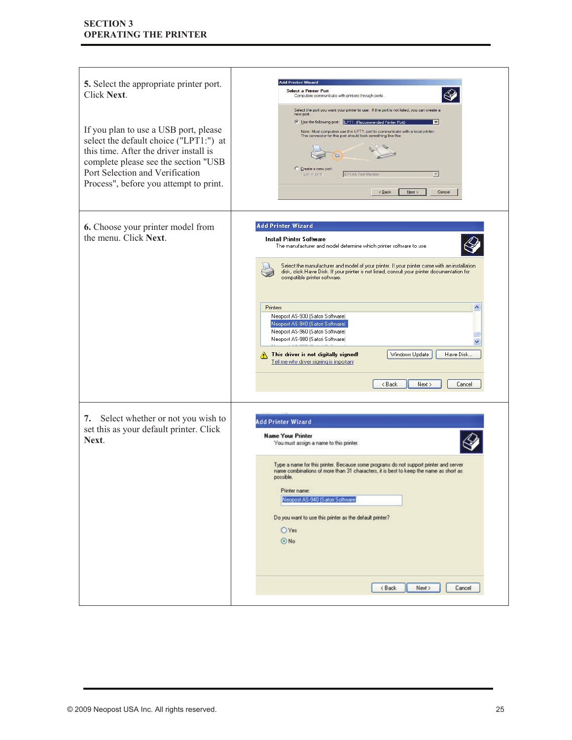| 5. Select the appropriate printer port.<br>Click Next.<br>If you plan to use a USB port, please<br>select the default choice ("LPT1:") at<br>this time. After the driver install is<br>complete please see the section "USB<br>Port Selection and Verification<br>Process", before you attempt to print. | <b>Add Printer Wizard</b><br><b>Select a Printer Port</b><br>Computers communicate with printers through ports.<br>Select the port you want your printer to use. If the port is not listed, you can create a<br>new port.<br>C Use the following port: [LPT1: (Recommended Printer Port)<br>$\overline{\phantom{a}}$<br>Note: Most computers use the LPT1; port to communicate with a local printer<br>The connector for this port should look something like this:<br>Create a new port<br>Type of port:<br>EPFAX Port Monitor<br>$\rightarrow$<br>Next<br>$\leq$ Back<br>Cancel                                                                                                                                           |
|----------------------------------------------------------------------------------------------------------------------------------------------------------------------------------------------------------------------------------------------------------------------------------------------------------|-----------------------------------------------------------------------------------------------------------------------------------------------------------------------------------------------------------------------------------------------------------------------------------------------------------------------------------------------------------------------------------------------------------------------------------------------------------------------------------------------------------------------------------------------------------------------------------------------------------------------------------------------------------------------------------------------------------------------------|
| 6. Choose your printer model from<br>the menu. Click Next.                                                                                                                                                                                                                                               | <b>Add Printer Wizard</b><br><b>Install Printer Software</b><br>The manufacturer and model determine which printer software to use.<br>Select the manufacturer and model of your printer. If your printer came with an installation<br>disk, click Have Disk. If your printer is not listed, consult your printer documentation for<br>compatible printer software.<br>$\hat{\phantom{a}}$<br>Printers<br>Neopost AS-930 (Satori Software)<br>Neopost AS-940 (Satori Software)<br>Neopost AS-960 (Satori Software)<br>Neopost AS-980 (Satori Software)<br><b>CLO COOLIN</b><br>This driver is not digitally signed!<br>Windows Update<br>Have Disk<br>Tell me why driver signing is important<br>< Back<br>Next ><br>Cancel |
| 7. Select whether or not you wish to<br>set this as your default printer. Click<br>Next.                                                                                                                                                                                                                 | <b>Add Printer Wizard</b><br><b>Name Your Printer</b><br>You must assign a name to this printer.<br>Type a name for this printer. Because some programs do not support printer and server<br>name combinations of more than 31 characters, it is best to keep the name as short as<br>possible.<br>Printer name:<br>Neopost AS-940 (Satori Software)<br>Do you want to use this printer as the default printer?<br>OYes<br>$\odot$ No<br>$8$ ack<br>Next ><br>Cancel                                                                                                                                                                                                                                                        |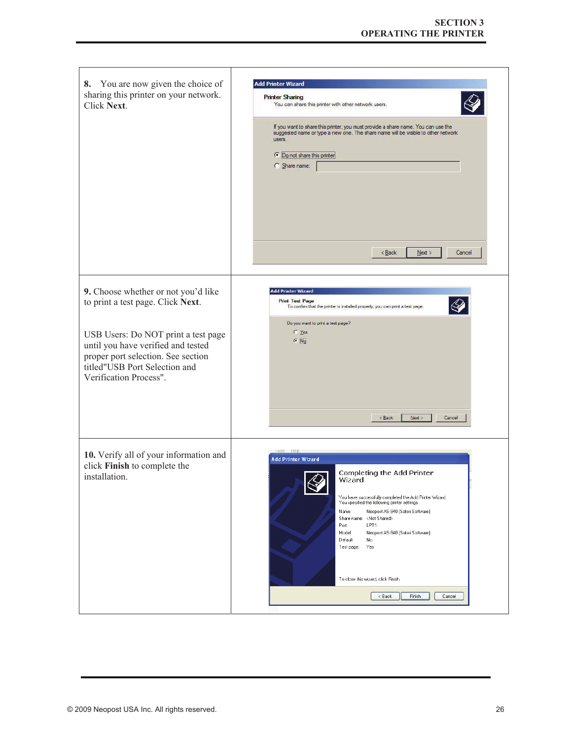| 8. You are now given the choice of<br>sharing this printer on your network.<br>Click Next.                                                                                                                                                             | <b>Add Printer Wizard</b><br><b>Printer Sharing</b><br>You can share this printer with other network users.<br>If you want to share this printer, you must provide a share name. You can use the<br>suggested name or type a new one. The share name will be visible to other network<br>users.<br>• Do not share this printer<br>C Share name:                                                                                                                                    |
|--------------------------------------------------------------------------------------------------------------------------------------------------------------------------------------------------------------------------------------------------------|------------------------------------------------------------------------------------------------------------------------------------------------------------------------------------------------------------------------------------------------------------------------------------------------------------------------------------------------------------------------------------------------------------------------------------------------------------------------------------|
| 9. Choose whether or not you'd like<br>to print a test page. Click Next.<br>USB Users: Do NOT print a test page<br>until you have verified and tested<br>proper port selection. See section<br>titled"USB Port Selection and<br>Verification Process". | < Back<br>Next<br>Cancel<br><b>Add Printer Wizard</b><br><b>Print Test Page</b><br>To confirm that the printer is installed properly, you can print a test page.<br>Do you want to print a test page?<br>$C$ Yes<br>$C$ $N0$<br>$<$ Back<br>Next<br>Cancel                                                                                                                                                                                                                         |
| 10. Verify all of your information and<br>click Finish to complete the<br>installation.                                                                                                                                                                | Tools Help<br><b>Add Printer Wizard</b><br>Completing the Add Printer<br>Wizard<br>You have successfully completed the Add Printer Wizard.<br>You specified the following printer settings:<br>Neopost AS-940 (Satori Software)<br>Name:<br>Share name: <not shared=""><br/>LPT1:<br/>Port:<br/>Model:<br/>Neopost AS-940 (Satori Software)<br/>Default:<br/>No<br/>Test page:<br/>Yes<br/>To close this wizard, click Finish.<br/><math>8</math> Back<br/>Finish<br/>Cancel</not> |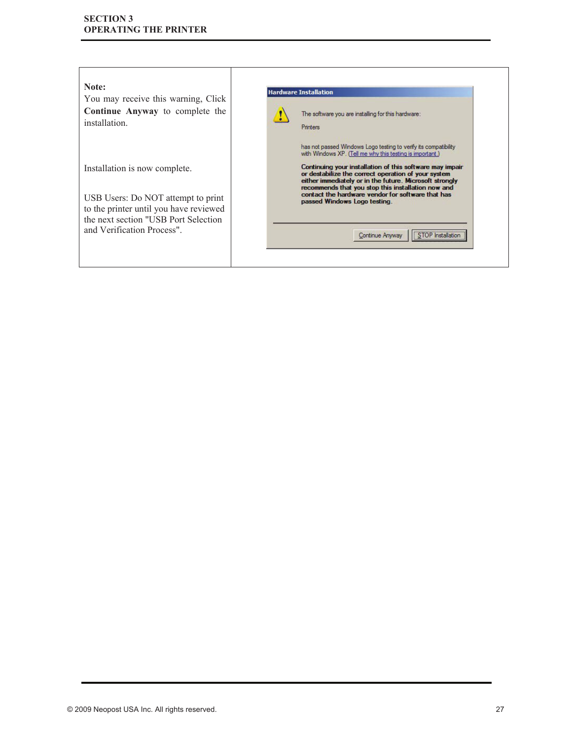### **SECTION 3 OPERATING THE PRINTER**

| Note:<br>You may receive this warning, Click<br>Continue Anyway to complete the<br>installation.                                                                                     | <b>Hardware Installation</b><br>The software you are installing for this hardware:<br>Printers                                                                                                                                                                                                                                                                                                                                                                                                     |
|--------------------------------------------------------------------------------------------------------------------------------------------------------------------------------------|----------------------------------------------------------------------------------------------------------------------------------------------------------------------------------------------------------------------------------------------------------------------------------------------------------------------------------------------------------------------------------------------------------------------------------------------------------------------------------------------------|
| Installation is now complete.<br>USB Users: Do NOT attempt to print<br>to the printer until you have reviewed<br>the next section "USB Port Selection"<br>and Verification Process". | has not passed Windows Logo testing to verify its compatibility<br>with Windows XP. (Tell me why this testing is important.)<br>Continuing your installation of this software may impair<br>or destabilize the correct operation of your system<br>either immediately or in the future. Microsoft strongly<br>recommends that you stop this installation now and<br>contact the hardware vendor for software that has<br>passed Windows Logo testing.<br><b>STOP</b> Installati<br>Continue Anyway |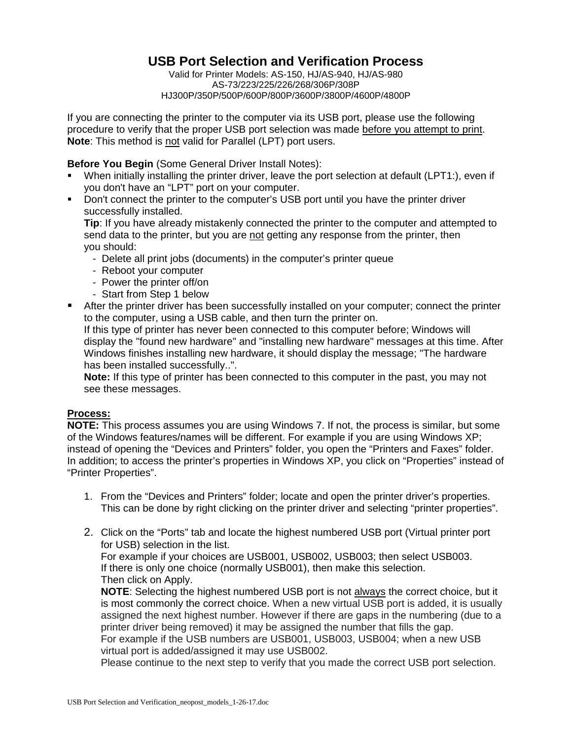# **USB Port Selection and Verification Process**

Valid for Printer Models: AS-150, HJ/AS-940, HJ/AS-980 AS-73/223/225/226/268/306P/308P HJ300P/350P/500P/600P/800P/3600P/3800P/4600P/4800P

If you are connecting the printer to the computer via its USB port, please use the following procedure to verify that the proper USB port selection was made before you attempt to print. **Note**: This method is not valid for Parallel (LPT) port users.

## **Before You Begin** (Some General Driver Install Notes):

- When initially installing the printer driver, leave the port selection at default (LPT1:), even if you don't have an "LPT" port on your computer.
- **Don't connect the printer to the computer's USB port until you have the printer driver** successfully installed.

**Tip**: If you have already mistakenly connected the printer to the computer and attempted to send data to the printer, but you are not getting any response from the printer, then you should:

- Delete all print jobs (documents) in the computer's printer queue
- Reboot your computer
- Power the printer off/on
- Start from Step 1 below

 After the printer driver has been successfully installed on your computer; connect the printer to the computer, using a USB cable, and then turn the printer on.

If this type of printer has never been connected to this computer before; Windows will display the "found new hardware" and "installing new hardware" messages at this time. After Windows finishes installing new hardware, it should display the message; "The hardware has been installed successfully..".

**Note:** If this type of printer has been connected to this computer in the past, you may not see these messages.

### **Process:**

**NOTE:** This process assumes you are using Windows 7. If not, the process is similar, but some of the Windows features/names will be different. For example if you are using Windows XP; instead of opening the "Devices and Printers" folder, you open the "Printers and Faxes" folder. In addition; to access the printer's properties in Windows XP, you click on "Properties" instead of "Printer Properties".

- 1. From the "Devices and Printers" folder; locate and open the printer driver's properties. This can be done by right clicking on the printer driver and selecting "printer properties".
- 2. Click on the "Ports" tab and locate the highest numbered USB port (Virtual printer port for USB) selection in the list.

For example if your choices are USB001, USB002, USB003; then select USB003. If there is only one choice (normally USB001), then make this selection. Then click on Apply.

**NOTE**: Selecting the highest numbered USB port is not always the correct choice, but it is most commonly the correct choice. When a new virtual USB port is added, it is usually assigned the next highest number. However if there are gaps in the numbering (due to a printer driver being removed) it may be assigned the number that fills the gap.

For example if the USB numbers are USB001, USB003, USB004; when a new USB virtual port is added/assigned it may use USB002.

Please continue to the next step to verify that you made the correct USB port selection.